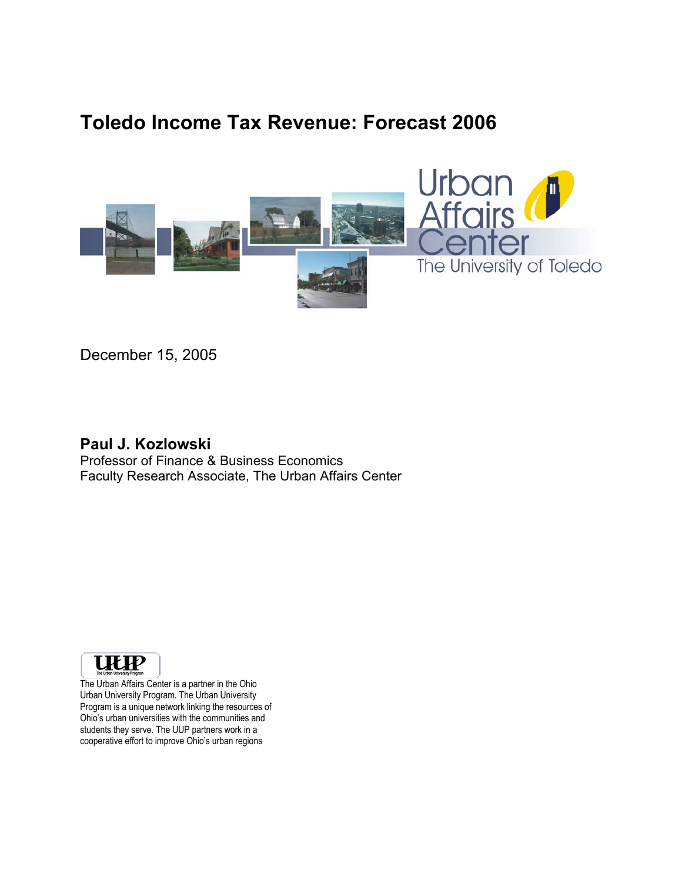# **Toledo Income Tax Revenue: Forecast 2006**



December 15, 2005

#### **Paul J. Kozlowski**

Professor of Finance & Business Economics Faculty Research Associate, The Urban Affairs Center



The Urban Affairs Center is a partner in the Ohio Urban University Program. The Urban University Program is a unique network linking the resources of Ohio's urban universities with the communities and students they serve. The UUP partners work in a cooperative effort to improve Ohio's urban regions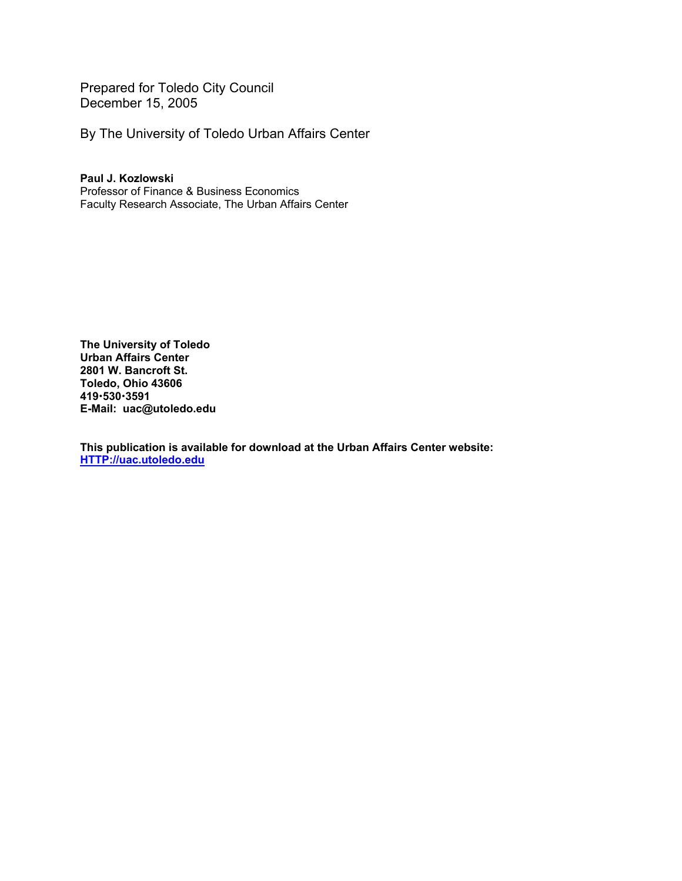Prepared for Toledo City Council December 15, 2005

By The University of Toledo Urban Affairs Center

**Paul J. Kozlowski**  Professor of Finance & Business Economics Faculty Research Associate, The Urban Affairs Center

**The University of Toledo Urban Affairs Center 2801 W. Bancroft St. Toledo, Ohio 43606 419**x**530**x**3591 E-Mail: uac@utoledo.edu** 

**This publication is available for download at the Urban Affairs Center website: HTTP://uac.utoledo.edu**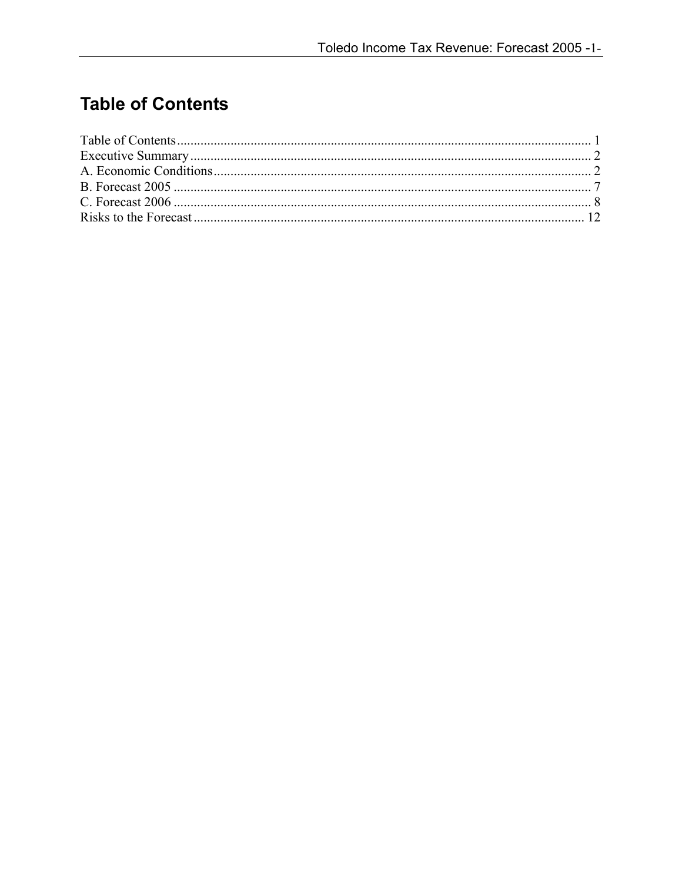# **Table of Contents**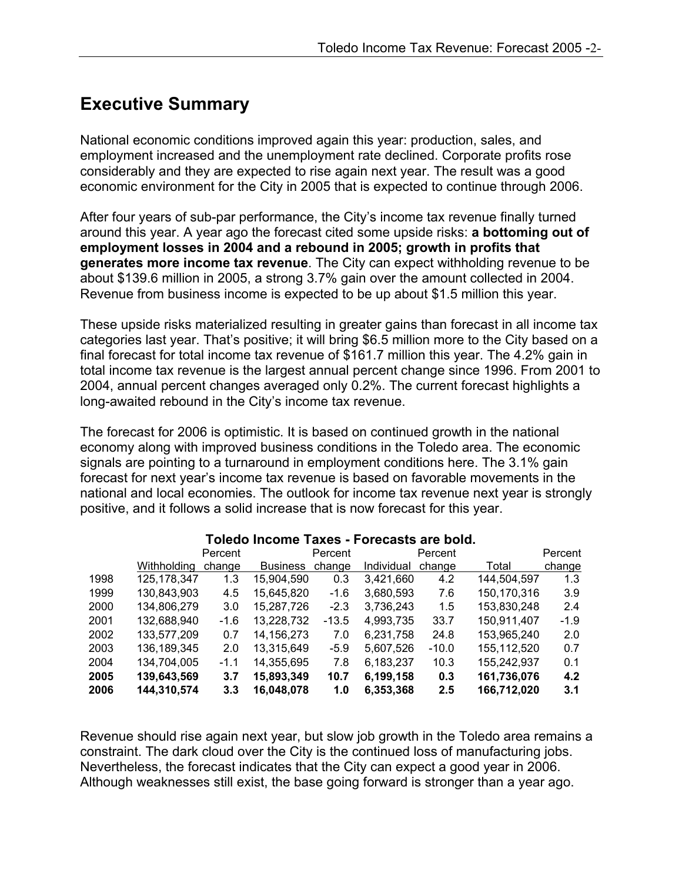## **Executive Summary**

National economic conditions improved again this year: production, sales, and employment increased and the unemployment rate declined. Corporate profits rose considerably and they are expected to rise again next year. The result was a good economic environment for the City in 2005 that is expected to continue through 2006.

After four years of sub-par performance, the City's income tax revenue finally turned around this year. A year ago the forecast cited some upside risks: **a bottoming out of employment losses in 2004 and a rebound in 2005; growth in profits that generates more income tax revenue**. The City can expect withholding revenue to be about \$139.6 million in 2005, a strong 3.7% gain over the amount collected in 2004. Revenue from business income is expected to be up about \$1.5 million this year.

These upside risks materialized resulting in greater gains than forecast in all income tax categories last year. That's positive; it will bring \$6.5 million more to the City based on a final forecast for total income tax revenue of \$161.7 million this year. The 4.2% gain in total income tax revenue is the largest annual percent change since 1996. From 2001 to 2004, annual percent changes averaged only 0.2%. The current forecast highlights a long-awaited rebound in the City's income tax revenue.

The forecast for 2006 is optimistic. It is based on continued growth in the national economy along with improved business conditions in the Toledo area. The economic signals are pointing to a turnaround in employment conditions here. The 3.1% gain forecast for next year's income tax revenue is based on favorable movements in the national and local economies. The outlook for income tax revenue next year is strongly positive, and it follows a solid increase that is now forecast for this year.

|      |             | Percent |                 | Percent |            | Percent |             | Percent |
|------|-------------|---------|-----------------|---------|------------|---------|-------------|---------|
|      | Withholdina | change  | <b>Business</b> | change  | Individual | change  | Total       | change  |
| 1998 | 125,178,347 | 1.3     | 15,904,590      | 0.3     | 3,421,660  | 4.2     | 144,504,597 | 1.3     |
| 1999 | 130,843,903 | 4.5     | 15,645,820      | $-1.6$  | 3,680,593  | 7.6     | 150,170,316 | 3.9     |
| 2000 | 134,806,279 | 3.0     | 15,287,726      | $-2.3$  | 3,736,243  | 1.5     | 153,830,248 | 2.4     |
| 2001 | 132,688,940 | $-1.6$  | 13,228,732      | $-13.5$ | 4,993,735  | 33.7    | 150,911,407 | $-1.9$  |
| 2002 | 133,577,209 | 0.7     | 14, 156, 273    | 7.0     | 6,231,758  | 24.8    | 153,965,240 | 2.0     |
| 2003 | 136,189,345 | 2.0     | 13,315,649      | $-5.9$  | 5,607,526  | $-10.0$ | 155,112,520 | 0.7     |
| 2004 | 134,704,005 | $-1.1$  | 14,355,695      | 7.8     | 6,183,237  | 10.3    | 155,242,937 | 0.1     |
| 2005 | 139,643,569 | 3.7     | 15,893,349      | 10.7    | 6,199,158  | 0.3     | 161,736,076 | 4.2     |
| 2006 | 144,310,574 | 3.3     | 16,048,078      | 1.0     | 6,353,368  | 2.5     | 166,712,020 | 3.1     |

#### **Toledo Income Taxes - Forecasts are bold.**

Revenue should rise again next year, but slow job growth in the Toledo area remains a constraint. The dark cloud over the City is the continued loss of manufacturing jobs. Nevertheless, the forecast indicates that the City can expect a good year in 2006. Although weaknesses still exist, the base going forward is stronger than a year ago.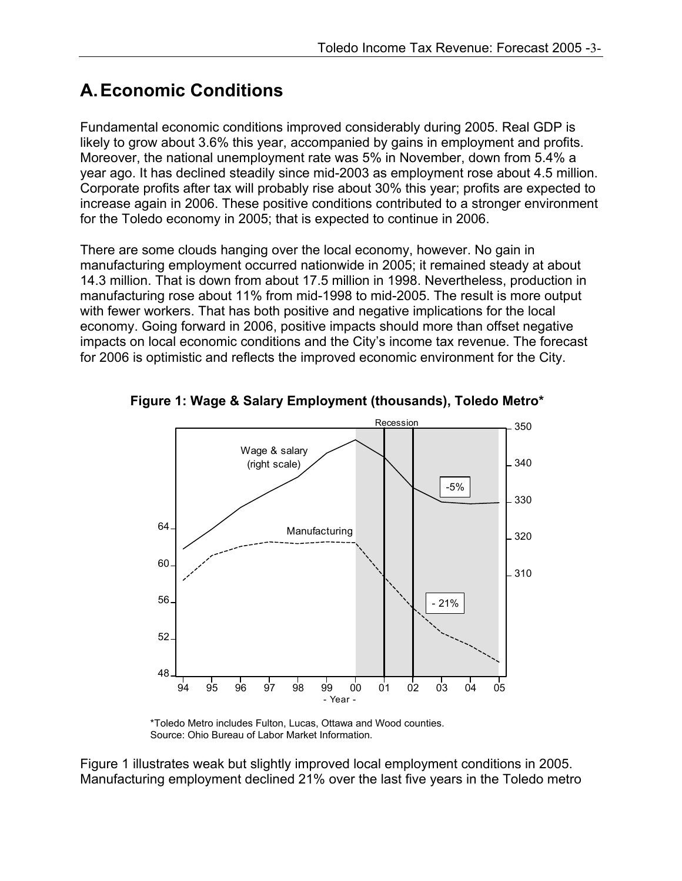# **A. Economic Conditions**

Fundamental economic conditions improved considerably during 2005. Real GDP is likely to grow about 3.6% this year, accompanied by gains in employment and profits. Moreover, the national unemployment rate was 5% in November, down from 5.4% a year ago. It has declined steadily since mid-2003 as employment rose about 4.5 million. Corporate profits after tax will probably rise about 30% this year; profits are expected to increase again in 2006. These positive conditions contributed to a stronger environment for the Toledo economy in 2005; that is expected to continue in 2006.

There are some clouds hanging over the local economy, however. No gain in manufacturing employment occurred nationwide in 2005; it remained steady at about 14.3 million. That is down from about 17.5 million in 1998. Nevertheless, production in manufacturing rose about 11% from mid-1998 to mid-2005. The result is more output with fewer workers. That has both positive and negative implications for the local economy. Going forward in 2006, positive impacts should more than offset negative impacts on local economic conditions and the City's income tax revenue. The forecast for 2006 is optimistic and reflects the improved economic environment for the City.



**Figure 1: Wage & Salary Employment (thousands), Toledo Metro\*** 

\*Toledo Metro includes Fulton, Lucas, Ottawa and Wood counties. Source: Ohio Bureau of Labor Market Information.

Figure 1 illustrates weak but slightly improved local employment conditions in 2005. Manufacturing employment declined 21% over the last five years in the Toledo metro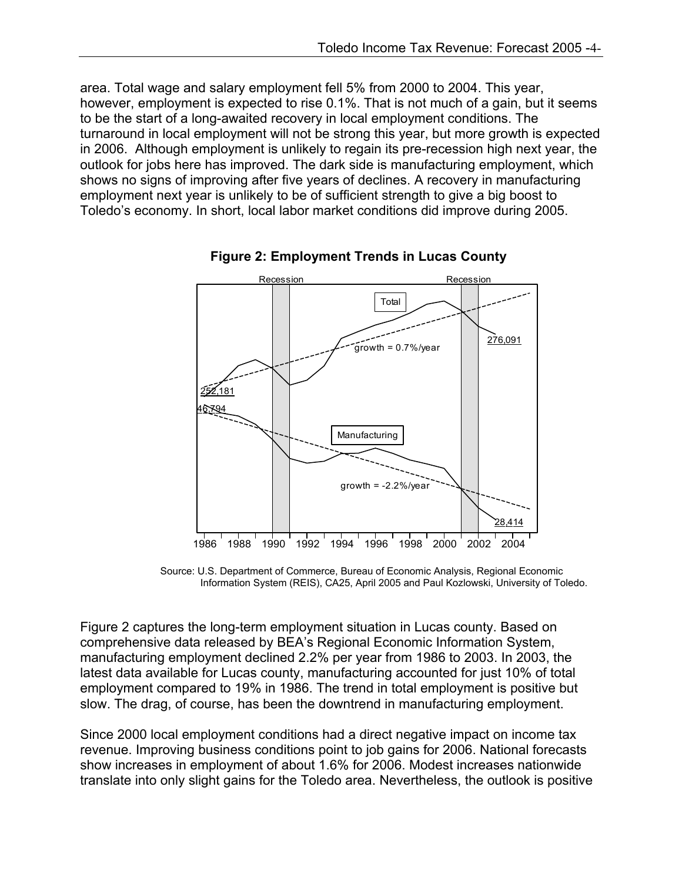area. Total wage and salary employment fell 5% from 2000 to 2004. This year, however, employment is expected to rise 0.1%. That is not much of a gain, but it seems to be the start of a long-awaited recovery in local employment conditions. The turnaround in local employment will not be strong this year, but more growth is expected in 2006. Although employment is unlikely to regain its pre-recession high next year, the outlook for jobs here has improved. The dark side is manufacturing employment, which shows no signs of improving after five years of declines. A recovery in manufacturing employment next year is unlikely to be of sufficient strength to give a big boost to Toledo's economy. In short, local labor market conditions did improve during 2005.



**Figure 2: Employment Trends in Lucas County** 

Source: U.S. Department of Commerce, Bureau of Economic Analysis, Regional Economic Information System (REIS), CA25, April 2005 and Paul Kozlowski, University of Toledo.

Figure 2 captures the long-term employment situation in Lucas county. Based on comprehensive data released by BEA's Regional Economic Information System, manufacturing employment declined 2.2% per year from 1986 to 2003. In 2003, the latest data available for Lucas county, manufacturing accounted for just 10% of total employment compared to 19% in 1986. The trend in total employment is positive but slow. The drag, of course, has been the downtrend in manufacturing employment.

Since 2000 local employment conditions had a direct negative impact on income tax revenue. Improving business conditions point to job gains for 2006. National forecasts show increases in employment of about 1.6% for 2006. Modest increases nationwide translate into only slight gains for the Toledo area. Nevertheless, the outlook is positive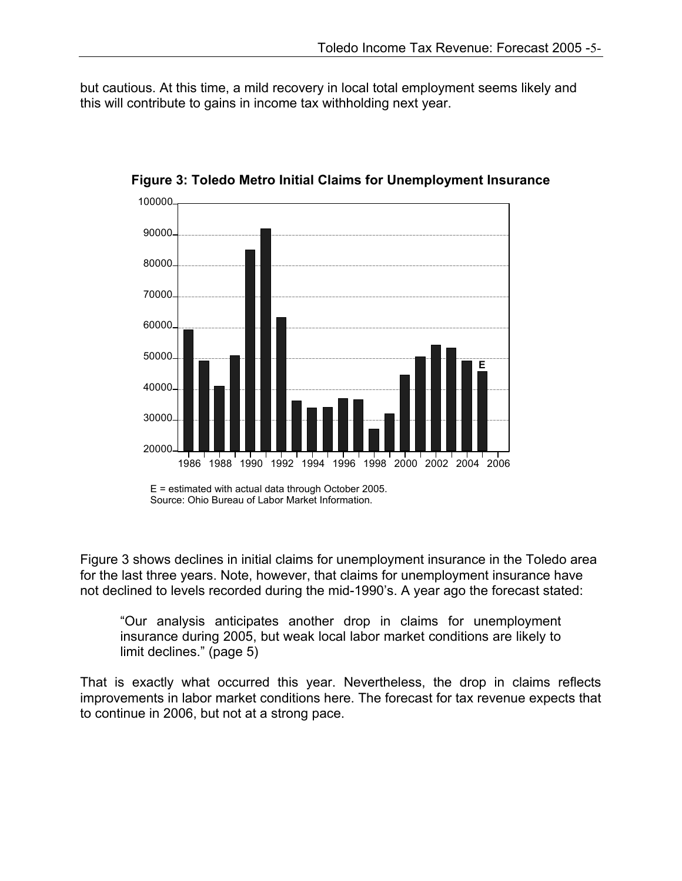but cautious. At this time, a mild recovery in local total employment seems likely and this will contribute to gains in income tax withholding next year.



**Figure 3: Toledo Metro Initial Claims for Unemployment Insurance** 

Figure 3 shows declines in initial claims for unemployment insurance in the Toledo area for the last three years. Note, however, that claims for unemployment insurance have not declined to levels recorded during the mid-1990's. A year ago the forecast stated:

"Our analysis anticipates another drop in claims for unemployment insurance during 2005, but weak local labor market conditions are likely to limit declines." (page 5)

That is exactly what occurred this year. Nevertheless, the drop in claims reflects improvements in labor market conditions here. The forecast for tax revenue expects that to continue in 2006, but not at a strong pace.

E = estimated with actual data through October 2005. Source: Ohio Bureau of Labor Market Information.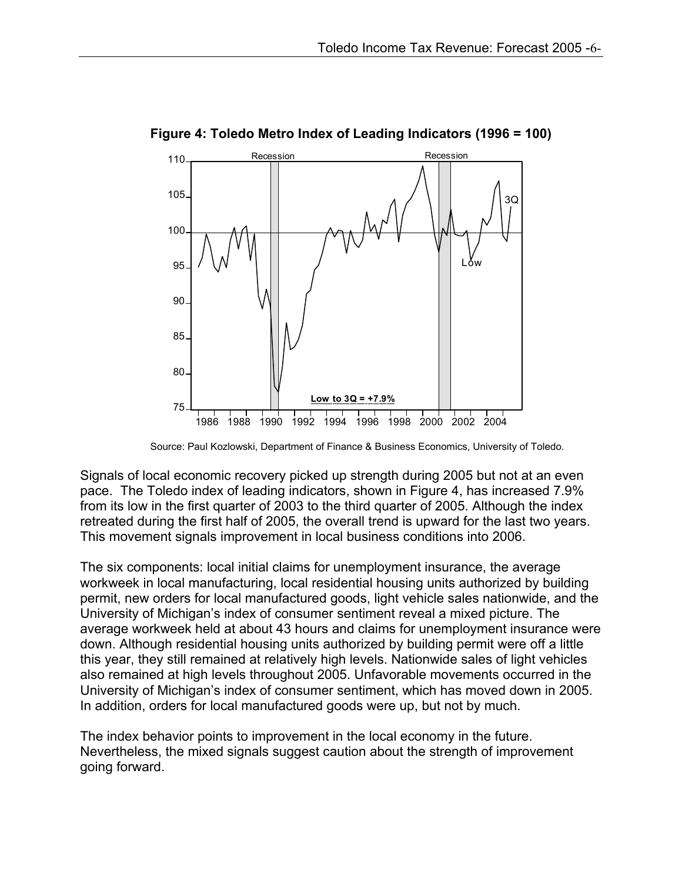

**Figure 4: Toledo Metro Index of Leading Indicators (1996 = 100)** 

Source: Paul Kozlowski, Department of Finance & Business Economics, University of Toledo.

Signals of local economic recovery picked up strength during 2005 but not at an even pace. The Toledo index of leading indicators, shown in Figure 4, has increased 7.9% from its low in the first quarter of 2003 to the third quarter of 2005. Although the index retreated during the first half of 2005, the overall trend is upward for the last two years. This movement signals improvement in local business conditions into 2006.

The six components: local initial claims for unemployment insurance, the average workweek in local manufacturing, local residential housing units authorized by building permit, new orders for local manufactured goods, light vehicle sales nationwide, and the University of Michigan's index of consumer sentiment reveal a mixed picture. The average workweek held at about 43 hours and claims for unemployment insurance were down. Although residential housing units authorized by building permit were off a little this year, they still remained at relatively high levels. Nationwide sales of light vehicles also remained at high levels throughout 2005. Unfavorable movements occurred in the University of Michigan's index of consumer sentiment, which has moved down in 2005. In addition, orders for local manufactured goods were up, but not by much.

The index behavior points to improvement in the local economy in the future. Nevertheless, the mixed signals suggest caution about the strength of improvement going forward.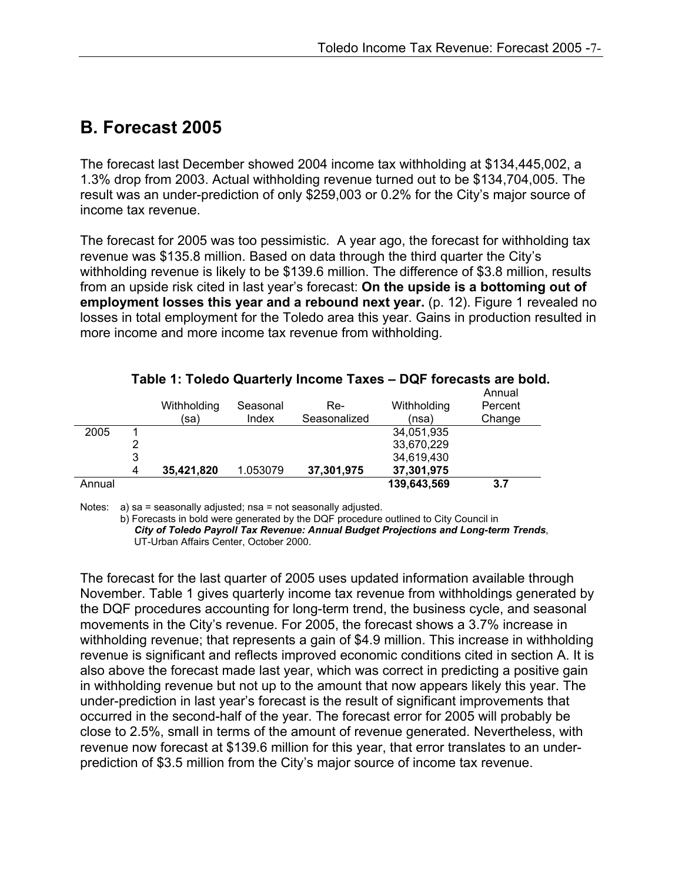## **B. Forecast 2005**

The forecast last December showed 2004 income tax withholding at \$134,445,002, a 1.3% drop from 2003. Actual withholding revenue turned out to be \$134,704,005. The result was an under-prediction of only \$259,003 or 0.2% for the City's major source of income tax revenue.

The forecast for 2005 was too pessimistic. A year ago, the forecast for withholding tax revenue was \$135.8 million. Based on data through the third quarter the City's withholding revenue is likely to be \$139.6 million. The difference of \$3.8 million, results from an upside risk cited in last year's forecast: **On the upside is a bottoming out of employment losses this year and a rebound next year.** (p. 12). Figure 1 revealed no losses in total employment for the Toledo area this year. Gains in production resulted in more income and more income tax revenue from withholding.

|        |   | Withholding | Seasonal | Re-          | Withholding | Annual<br>Percent |
|--------|---|-------------|----------|--------------|-------------|-------------------|
|        |   | (sa)        | Index    | Seasonalized | (nsa)       | Change            |
| 2005   |   |             |          |              | 34,051,935  |                   |
|        |   |             |          |              | 33,670,229  |                   |
|        | 3 |             |          |              | 34,619,430  |                   |
|        | 4 | 35,421,820  | 1.053079 | 37,301,975   | 37,301,975  |                   |
| Annual |   |             |          |              | 139,643,569 | 3.7               |

**Table 1: Toledo Quarterly Income Taxes – DQF forecasts are bold.** 

Notes: a) sa = seasonally adjusted; nsa = not seasonally adjusted.

b) Forecasts in bold were generated by the DQF procedure outlined to City Council in *City of Toledo Payroll Tax Revenue: Annual Budget Projections and Long-term Trends*, UT-Urban Affairs Center, October 2000.

The forecast for the last quarter of 2005 uses updated information available through November. Table 1 gives quarterly income tax revenue from withholdings generated by the DQF procedures accounting for long-term trend, the business cycle, and seasonal movements in the City's revenue. For 2005, the forecast shows a 3.7% increase in withholding revenue; that represents a gain of \$4.9 million. This increase in withholding revenue is significant and reflects improved economic conditions cited in section A. It is also above the forecast made last year, which was correct in predicting a positive gain in withholding revenue but not up to the amount that now appears likely this year. The under-prediction in last year's forecast is the result of significant improvements that occurred in the second-half of the year. The forecast error for 2005 will probably be close to 2.5%, small in terms of the amount of revenue generated. Nevertheless, with revenue now forecast at \$139.6 million for this year, that error translates to an underprediction of \$3.5 million from the City's major source of income tax revenue.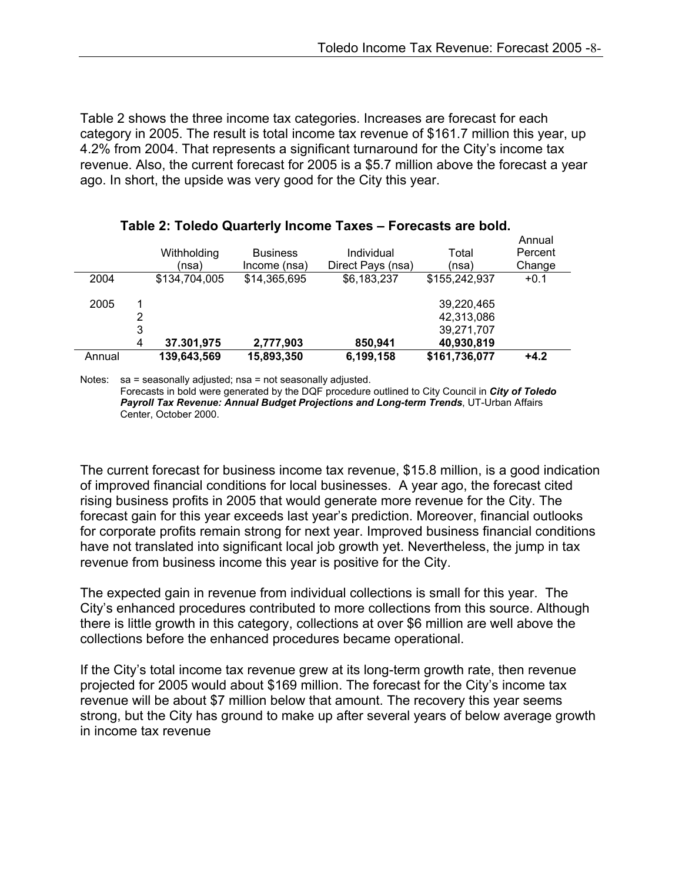Table 2 shows the three income tax categories. Increases are forecast for each category in 2005. The result is total income tax revenue of \$161.7 million this year, up 4.2% from 2004. That represents a significant turnaround for the City's income tax revenue. Also, the current forecast for 2005 is a \$5.7 million above the forecast a year ago. In short, the upside was very good for the City this year.

|        |        | Withholding<br>(nsa) | <b>Business</b><br>Income (nsa) | Individual<br>Direct Pays (nsa) | Total<br>(nsa)                                       | Annual<br>Percent<br>Change |
|--------|--------|----------------------|---------------------------------|---------------------------------|------------------------------------------------------|-----------------------------|
| 2004   |        | \$134,704,005        | \$14,365,695                    | \$6,183,237                     | \$155,242,937                                        | $+0.1$                      |
| 2005   | 3<br>4 | 37.301,975           | 2,777,903                       | 850,941                         | 39,220,465<br>42,313,086<br>39,271,707<br>40,930,819 |                             |
| Annual |        | 139,643,569          | 15,893,350                      | 6,199,158                       | \$161,736,077                                        | $+4.2$                      |

#### **Table 2: Toledo Quarterly Income Taxes – Forecasts are bold.**

Notes: sa = seasonally adjusted; nsa = not seasonally adjusted.

 Forecasts in bold were generated by the DQF procedure outlined to City Council in *City of Toledo Payroll Tax Revenue: Annual Budget Projections and Long-term Trends*, UT-Urban Affairs Center, October 2000.

The current forecast for business income tax revenue, \$15.8 million, is a good indication of improved financial conditions for local businesses. A year ago, the forecast cited rising business profits in 2005 that would generate more revenue for the City. The forecast gain for this year exceeds last year's prediction. Moreover, financial outlooks for corporate profits remain strong for next year. Improved business financial conditions have not translated into significant local job growth yet. Nevertheless, the jump in tax revenue from business income this year is positive for the City.

The expected gain in revenue from individual collections is small for this year. The City's enhanced procedures contributed to more collections from this source. Although there is little growth in this category, collections at over \$6 million are well above the collections before the enhanced procedures became operational.

If the City's total income tax revenue grew at its long-term growth rate, then revenue projected for 2005 would about \$169 million. The forecast for the City's income tax revenue will be about \$7 million below that amount. The recovery this year seems strong, but the City has ground to make up after several years of below average growth in income tax revenue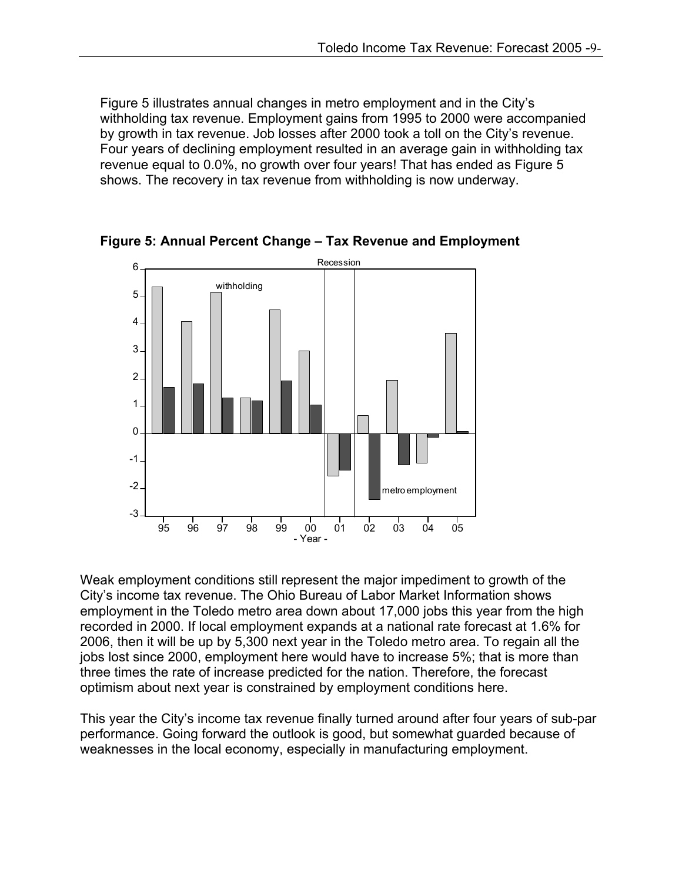Figure 5 illustrates annual changes in metro employment and in the City's withholding tax revenue. Employment gains from 1995 to 2000 were accompanied by growth in tax revenue. Job losses after 2000 took a toll on the City's revenue. Four years of declining employment resulted in an average gain in withholding tax revenue equal to 0.0%, no growth over four years! That has ended as Figure 5 shows. The recovery in tax revenue from withholding is now underway.



**Figure 5: Annual Percent Change – Tax Revenue and Employment** 

Weak employment conditions still represent the major impediment to growth of the City's income tax revenue. The Ohio Bureau of Labor Market Information shows employment in the Toledo metro area down about 17,000 jobs this year from the high recorded in 2000. If local employment expands at a national rate forecast at 1.6% for 2006, then it will be up by 5,300 next year in the Toledo metro area. To regain all the jobs lost since 2000, employment here would have to increase 5%; that is more than three times the rate of increase predicted for the nation. Therefore, the forecast optimism about next year is constrained by employment conditions here.

This year the City's income tax revenue finally turned around after four years of sub-par performance. Going forward the outlook is good, but somewhat guarded because of weaknesses in the local economy, especially in manufacturing employment.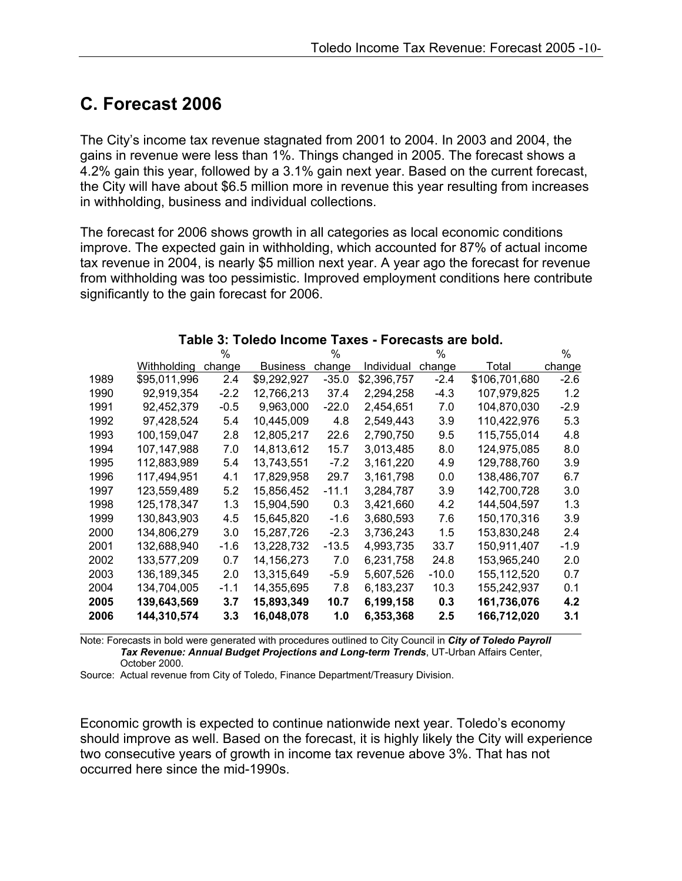### **C. Forecast 2006**

The City's income tax revenue stagnated from 2001 to 2004. In 2003 and 2004, the gains in revenue were less than 1%. Things changed in 2005. The forecast shows a 4.2% gain this year, followed by a 3.1% gain next year. Based on the current forecast, the City will have about \$6.5 million more in revenue this year resulting from increases in withholding, business and individual collections.

The forecast for 2006 shows growth in all categories as local economic conditions improve. The expected gain in withholding, which accounted for 87% of actual income tax revenue in 2004, is nearly \$5 million next year. A year ago the forecast for revenue from withholding was too pessimistic. Improved employment conditions here contribute significantly to the gain forecast for 2006.

|      |               | $\%$   |                 | %       |             | $\%$    |               | $\%$   |
|------|---------------|--------|-----------------|---------|-------------|---------|---------------|--------|
|      | Withholding   | change | <b>Business</b> | change  | Individual  | change  | Total         | change |
| 1989 | \$95,011,996  | 2.4    | \$9,292,927     | $-35.0$ | \$2,396,757 | $-2.4$  | \$106,701,680 | $-2.6$ |
| 1990 | 92,919,354    | $-2.2$ | 12,766,213      | 37.4    | 2,294,258   | $-4.3$  | 107,979,825   | 1.2    |
| 1991 | 92,452,379    | $-0.5$ | 9,963,000       | $-22.0$ | 2,454,651   | 7.0     | 104,870,030   | $-2.9$ |
| 1992 | 97,428,524    | 5.4    | 10,445,009      | 4.8     | 2,549,443   | 3.9     | 110,422,976   | 5.3    |
| 1993 | 100,159,047   | 2.8    | 12,805,217      | 22.6    | 2,790,750   | 9.5     | 115,755,014   | 4.8    |
| 1994 | 107,147,988   | 7.0    | 14,813,612      | 15.7    | 3,013,485   | 8.0     | 124,975,085   | 8.0    |
| 1995 | 112,883,989   | 5.4    | 13,743,551      | $-7.2$  | 3,161,220   | 4.9     | 129,788,760   | 3.9    |
| 1996 | 117,494,951   | 4.1    | 17,829,958      | 29.7    | 3,161,798   | 0.0     | 138,486,707   | 6.7    |
| 1997 | 123,559,489   | 5.2    | 15,856,452      | $-11.1$ | 3,284,787   | 3.9     | 142,700,728   | 3.0    |
| 1998 | 125, 178, 347 | 1.3    | 15,904,590      | 0.3     | 3,421,660   | 4.2     | 144,504,597   | 1.3    |
| 1999 | 130,843,903   | 4.5    | 15,645,820      | $-1.6$  | 3,680,593   | 7.6     | 150,170,316   | 3.9    |
| 2000 | 134,806,279   | 3.0    | 15,287,726      | $-2.3$  | 3,736,243   | 1.5     | 153,830,248   | 2.4    |
| 2001 | 132,688,940   | -1.6   | 13,228,732      | $-13.5$ | 4,993,735   | 33.7    | 150,911,407   | $-1.9$ |
| 2002 | 133,577,209   | 0.7    | 14, 156, 273    | 7.0     | 6,231,758   | 24.8    | 153,965,240   | 2.0    |
| 2003 | 136,189,345   | 2.0    | 13,315,649      | $-5.9$  | 5,607,526   | $-10.0$ | 155,112,520   | 0.7    |
| 2004 | 134,704,005   | $-1.1$ | 14,355,695      | 7.8     | 6,183,237   | 10.3    | 155,242,937   | 0.1    |
| 2005 | 139,643,569   | 3.7    | 15,893,349      | 10.7    | 6,199,158   | 0.3     | 161,736,076   | 4.2    |
| 2006 | 144,310,574   | 3.3    | 16,048,078      | 1.0     | 6,353,368   | 2.5     | 166,712,020   | 3.1    |

#### **Table 3: Toledo Income Taxes - Forecasts are bold.**

Note: Forecasts in bold were generated with procedures outlined to City Council in *City of Toledo Payroll Tax Revenue: Annual Budget Projections and Long-term Trends*, UT-Urban Affairs Center, October 2000.

Source: Actual revenue from City of Toledo, Finance Department/Treasury Division.

Economic growth is expected to continue nationwide next year. Toledo's economy should improve as well. Based on the forecast, it is highly likely the City will experience two consecutive years of growth in income tax revenue above 3%. That has not occurred here since the mid-1990s.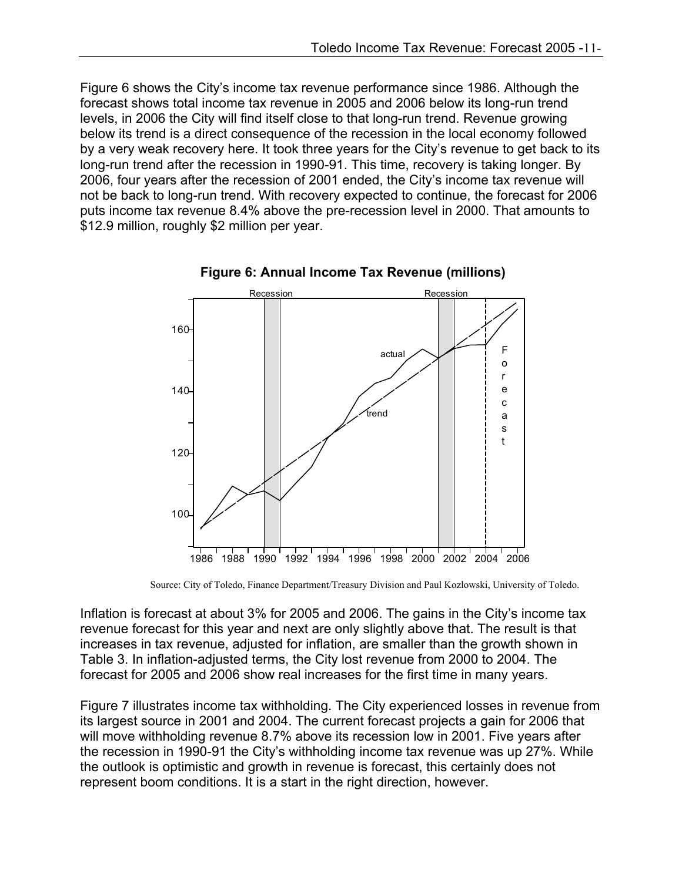Figure 6 shows the City's income tax revenue performance since 1986. Although the forecast shows total income tax revenue in 2005 and 2006 below its long-run trend levels, in 2006 the City will find itself close to that long-run trend. Revenue growing below its trend is a direct consequence of the recession in the local economy followed by a very weak recovery here. It took three years for the City's revenue to get back to its long-run trend after the recession in 1990-91. This time, recovery is taking longer. By 2006, four years after the recession of 2001 ended, the City's income tax revenue will not be back to long-run trend. With recovery expected to continue, the forecast for 2006 puts income tax revenue 8.4% above the pre-recession level in 2000. That amounts to \$12.9 million, roughly \$2 million per year.





Source: City of Toledo, Finance Department/Treasury Division and Paul Kozlowski, University of Toledo.

Inflation is forecast at about 3% for 2005 and 2006. The gains in the City's income tax revenue forecast for this year and next are only slightly above that. The result is that increases in tax revenue, adjusted for inflation, are smaller than the growth shown in Table 3. In inflation-adjusted terms, the City lost revenue from 2000 to 2004. The forecast for 2005 and 2006 show real increases for the first time in many years.

Figure 7 illustrates income tax withholding. The City experienced losses in revenue from its largest source in 2001 and 2004. The current forecast projects a gain for 2006 that will move withholding revenue 8.7% above its recession low in 2001. Five years after the recession in 1990-91 the City's withholding income tax revenue was up 27%. While the outlook is optimistic and growth in revenue is forecast, this certainly does not represent boom conditions. It is a start in the right direction, however.